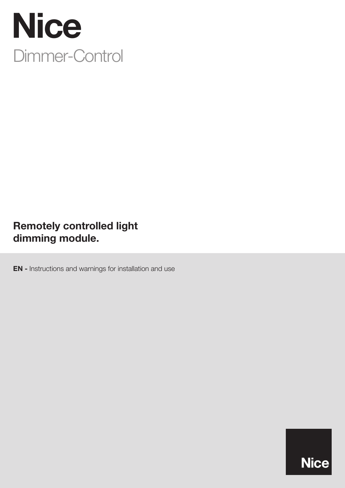

# Remotely controlled light dimming module.

EN - Instructions and warnings for installation and use

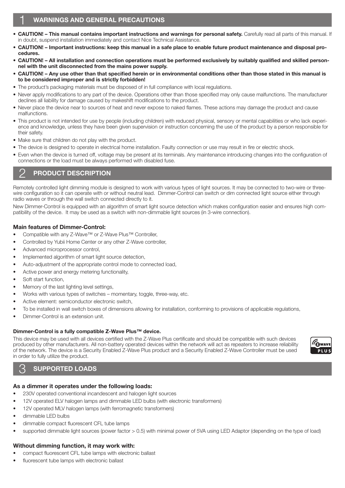### **WARNINGS AND GENERAL PRECAUTIONS**

- CAUTION! This manual contains important instructions and warnings for personal safety. Carefully read all parts of this manual. If in doubt, suspend installation immediately and contact Nice Technical Assistance.
- CAUTION! Important instructions: keep this manual in a safe place to enable future product maintenance and disposal procedures.
- CAUTION! All installation and connection operations must be performed exclusively by suitably qualified and skilled personnel with the unit disconnected from the mains power supply.
- CAUTION! Any use other than that specified herein or in environmental conditions other than those stated in this manual is to be considered improper and is strictly forbidden!
- The product's packaging materials must be disposed of in full compliance with local regulations.
- Never apply modifications to any part of the device. Operations other than those specified may only cause malfunctions. The manufacturer declines all liability for damage caused by makeshift modifications to the product.
- Never place the device near to sources of heat and never expose to naked flames. These actions may damage the product and cause malfunctions.
- This product is not intended for use by people (including children) with reduced physical, sensory or mental capabilities or who lack experience and knowledge, unless they have been given supervision or instruction concerning the use of the product by a person responsible for their safety.
- Make sure that children do not play with the product.
- The device is designed to operate in electrical home installation. Faulty connection or use may result in fire or electric shock.
- Even when the device is turned off, voltage may be present at its terminals. Any maintenance introducing changes into the configuration of connections or the load must be always performed with disabled fuse.

## PRODUCT DESCRIPTION

Remotely controlled light dimming module is designed to work with various types of light sources. It may be connected to two-wire or threewire configuration so it can operate with or without neutral lead. Dimmer-Control can switch or dim connected light source either through radio waves or through the wall switch connected directly to it.

New Dimmer-Control is equipped with an algorithm of smart light source detection which makes configuration easier and ensures high compatibility of the device. It may be used as a switch with non-dimmable light sources (in 3-wire connection).

#### Main features of Dimmer-Control:

- Compatible with any Z-Wave™ or Z-Wave Plus™ Controller,
- Controlled by Yubii Home Center or any other Z-Wave controller,
- Advanced microprocessor control,
- Implemented algorithm of smart light source detection,
- Auto-adjustment of the appropriate control mode to connected load,
- Active power and energy metering functionality,
- Soft start function,
- Memory of the last lighting level settings,
- Works with various types of switches momentary, toggle, three-way, etc.
- Active element: semiconductor electronic switch,
- To be installed in wall switch boxes of dimensions allowing for installation, conforming to provisions of applicable regulations,
- Dimmer-Control is an extension unit.

#### Dimmer-Control is a fully compatible Z-Wave Plus™ device.

This device may be used with all devices certified with the Z-Wave Plus certificate and should be compatible with such devices produced by other manufacturers. All non-battery operated devices within the network will act as repeaters to increase reliability of the network. The device is a Security Enabled Z-Wave Plus product and a Security Enabled Z-Wave Controller must be used in order to fully utilize the product.

# 3 SUPPORTED LOADS

### As a dimmer it operates under the following loads:

- 230V operated conventional incandescent and halogen light sources
- 12V operated ELV halogen lamps and dimmable LED bulbs (with electronic transformers)
- 12V operated MLV halogen lamps (with ferromagnetic transformers)
- dimmable LED bulbs
- dimmable compact fluorescent CFL tube lamps
- supported dimmable light sources (power factor > 0.5) with minimal power of 5VA using LED Adaptor (depending on the type of load)

### Without dimming function, it may work with:

- compact fluorescent CFL tube lamps with electronic ballast
- fluorescent tube lamps with electronic ballast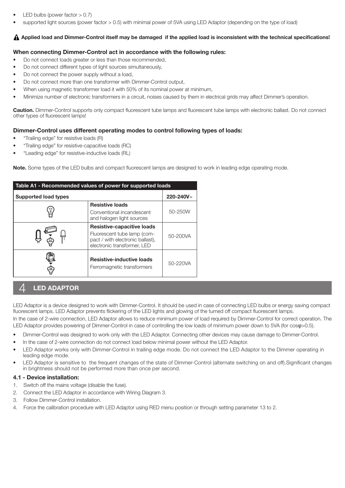- LED bulbs (power factor  $> 0.7$ )
- supported light sources (power factor > 0.5) with minimal power of 5VA using LED Adaptor (depending on the type of load)

#### $\bf{A}$  Applied load and Dimmer-Control itself may be damaged if the applied load is inconsistent with the technical specifications!

#### When connecting Dimmer-Control act in accordance with the following rules:

- Do not connect loads greater or less than those recommended,
- Do not connect different types of light sources simultaneously,
- Do not connect the power supply without a load,
- Do not connect more than one transformer with Dimmer-Control output,
- When using magnetic transformer load it with 50% of its nominal power at minimum,
- Minimize number of electronic transformers in a circuit, noises caused by them in electrical grids may affect Dimmer's operation.

Caution. Dimmer-Control supports only compact fluorescent tube lamps and fluorescent tube lamps with electronic ballast. Do not connect other types of fluorescent lamps!

#### Dimmer-Control uses different operating modes to control following types of loads:

- "Trailing edge" for resistive loads (R)
- "Trailing edge" for resistive-capacitive loads (RC)
- "Leading edge" for resistive-inductive loads (RL)

Note. Some types of the LED bulbs and compact fluorescent lamps are designed to work in leading edge operating mode.

| Table A1 - Recommended values of power for supported loads |                                                                                                                                     |          |  |  |
|------------------------------------------------------------|-------------------------------------------------------------------------------------------------------------------------------------|----------|--|--|
| $220 - 240V -$<br><b>Supported load types</b>              |                                                                                                                                     |          |  |  |
|                                                            | <b>Resistive loads</b><br>Conventional incandescent<br>and halogen light sources                                                    | 50-250W  |  |  |
|                                                            | <b>Resistive-capacitive loads</b><br>Fluorescent tube lamp (com-<br>pact / with electronic ballast),<br>electronic transformer, LED | 50-200VA |  |  |
|                                                            | <b>Resistive-inductive loads</b><br>Ferromagnetic transformers                                                                      | 50-220VA |  |  |

# **LED ADAPTOR**

LED Adaptor is a device designed to work with Dimmer-Control. It should be used in case of connecting LED bulbs or energy saving compact fluorescent lamps. LED Adaptor prevents flickering of the LED lights and glowing of the turned off compact fluorescent lamps.

In the case of 2-wire connection, LED Adaptor allows to reduce minimum power of load required by Dimmer-Control for correct operation. The LED Adaptor provides powering of Dimmer-Control in case of controlling the low loads of minimum power down to 5VA (for cosφ>0.5).

- Dimmer-Control was designed to work only with the LED Adaptor. Connecting other devices may cause damage to Dimmer-Control.
- In the case of 2-wire connection do not connect load below minimal power without the LED Adaptor.
- LED Adaptor works only with Dimmer-Control in trailing edge mode. Do not connect the LED Adaptor to the Dimmer operating in leading edge mode.
- LED Adaptor is sensitive to the frequent changes of the state of Dimmer-Control (alternate switching on and off).Significant changes in brightness should not be performed more than once per second.

#### 4.1 - Device installation:

- 1. Switch off the mains voltage (disable the fuse).
- 2. Connect the LED Adaptor in accordance with Wiring Diagram 3.
- 3. Follow Dimmer-Control installation.
- 4. Force the calibration procedure with LED Adaptor using RED menu position or through setting parameter 13 to 2.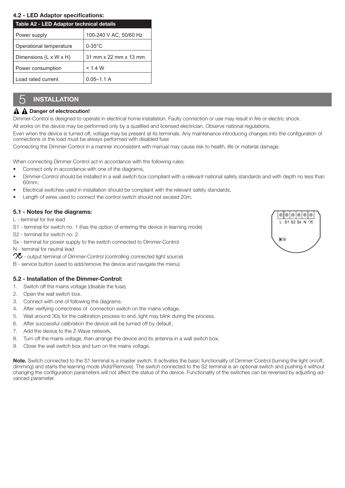#### 4.2 - LED Adaptor specifications:

| Table A2 - LED Adaptor technical details |                        |  |
|------------------------------------------|------------------------|--|
| Power supply                             | 100-240 V AC, 50/60 Hz |  |
| Operational temperature                  | $0-35^{\circ}$ C       |  |
| Dimensions $(L \times W \times H)$       | 31 mm x 22 mm x 13 mm  |  |
| Power consumption                        | < 1.4 W                |  |
| I oad rated current                      | $0.05 - 1.1$ A         |  |

# **INSTALLATION**

#### $\mathbf A$   $\mathbf A$  Danger of electrocution!

Dimmer-Control is designed to operate in electrical home installation. Faulty connection or use may result in fire or electric shock.

All works on the device may be performed only by a qualified and licensed electrician. Observe national regulations.

Even when the device is turned off, voltage may be present at its terminals. Any maintenance introducing changes into the configuration of connections or the load must be always performed with disabled fuse

Connecting the Dimmer-Control in a manner inconsistent with manual may cause risk to health, life or material damage.

When connecting Dimmer-Control act in accordance with the following rules:

- Connect only in accordance with one of the diagrams,
- Dimmer-Control should be installed in a wall switch box compliant with a relevant national safety standards and with depth no less than 60mm,
- Electrical switches used in installation should be compliant with the relevant safety standards,
- Length of wires used to connect the control switch should not exceed 20m.

#### 5.1 - Notes for the diagrams:

L - terminal for live lead

- S1 terminal for switch no. 1 (has the option of entering the device in learning mode)
- S2 terminal for switch no. 2
- Sx terminal for power supply to the switch connected to Dimmer-Control
- N terminal for neutral lead
- $\chi$  output terminal of Dimmer-Control (controlling connected light source)
- B service button (used to add/remove the device and navigate the menu)

#### 5.2 - Installation of the Dimmer-Control:

- 1. Switch off the mains voltage (disable the fuse).
- 2. Open the wall switch box.
- 3. Connect with one of following the diagrams.
- 4. After verifying correctness of connection switch on the mains voltage,
- 5. Wait around 30s for the calibration process to end, light may blink during the process,
- 6. After successful calibration the device will be turned off by default,
- 7. Add the device to the Z-Wave network,
- 8. Turn off the mains voltage, then arrange the device and its antenna in a wall switch box,
- 9. Close the wall switch box and turn on the mains voltage.

Note. Switch connected to the S1 terminal is a master switch. It activates the basic functionality of Dimmer-Control (turning the light on/off, dimming) and starts the learning mode (Add/Remove). The switch connected to the S2 terminal is an optional switch and pushing it without changing the configuration parameters will not affect the status of the device. Functionality of the switches can be reversed by adjusting advanced parameter.

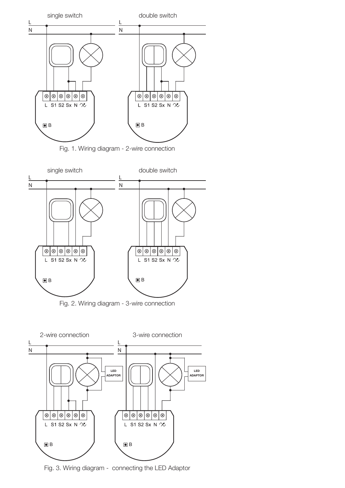





Fig. 3. Wiring diagram - connecting the LED Adaptor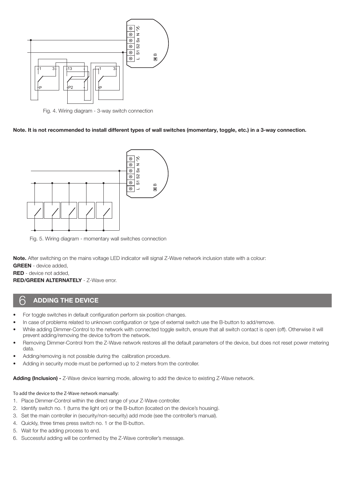

Fig. 4. Wiring diagram - 3-way switch connection

Note. It is not recommended to install different types of wall switches (momentary, toggle, etc.) in a 3-way connection.



Fig. 5. Wiring diagram - momentary wall switches connection

Note. After switching on the mains voltage LED indicator will signal Z-Wave network inclusion state with a colour:

GREEN - device added,

RED - device not added,

RED/GREEN ALTERNATELY - Z-Wave error.

### **ADDING THE DEVICE**

- For toggle switches in default configuration perform six position changes.
- In case of problems related to unknown configuration or type of external switch use the B-button to add/remove.
- While adding Dimmer-Control to the network with connected toggle switch, ensure that all switch contact is open (off). Otherwise it will prevent adding/removing the device to/from the network.
- Removing Dimmer-Control from the Z-Wave network restores all the default parameters of the device, but does not reset power metering data.
- Adding/removing is not possible during the calibration procedure.
- Adding in security mode must be performed up to 2 meters from the controller.

Adding (Inclusion) - Z-Wave device learning mode, allowing to add the device to existing Z-Wave network.

To add the device to the Z-Wave network manually:

- 1. Place Dimmer-Control within the direct range of your Z-Wave controller.
- 2. Identify switch no. 1 (turns the light on) or the B-button (located on the device's housing).
- 3. Set the main controller in (security/non-security) add mode (see the controller's manual).
- 4. Quickly, three times press switch no. 1 or the B-button.
- 5. Wait for the adding process to end.
- 6. Successful adding will be confirmed by the Z-Wave controller's message.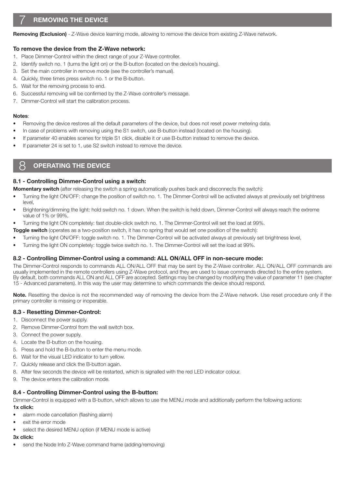Removing (Exclusion) - Z-Wave device learning mode, allowing to remove the device from existing Z-Wave network.

#### To remove the device from the Z-Wave network:

- 1. Place Dimmer-Control within the direct range of your Z-Wave controller.
- 2. Identify switch no. 1 (turns the light on) or the B-button (located on the device's housing).
- 3. Set the main controller in remove mode (see the controller's manual).
- 4. Quickly, three times press switch no. 1 or the B-button.
- 5. Wait for the removing process to end.
- 6. Successful removing will be confirmed by the Z-Wave controller's message.
- 7. Dimmer-Control will start the calibration process.

#### Notes:

- Removing the device restores all the default parameters of the device, but does not reset power metering data.
- In case of problems with removing using the S1 switch, use B-button instead (located on the housing).
- If parameter 40 enables scenes for triple S1 click, disable it or use B-button instead to remove the device.
- If parameter 24 is set to 1, use S2 switch instead to remove the device.

# **OPERATING THE DEVICE**

#### 8.1 - Controlling Dimmer-Control using a switch:

**Momentary switch** (after releasing the switch a spring automatically pushes back and disconnects the switch):

- Turning the light ON/OFF: change the position of switch no. 1. The Dimmer-Control will be activated always at previously set brightness level,
- Brightening/dimming the light: hold switch no. 1 down. When the switch is held down, Dimmer-Control will always reach the extreme value of 1% or 99%,

• Turning the light ON completely: fast double-click switch no. 1. The Dimmer-Control will set the load at 99%.

- **Toggle switch** (operates as a two-position switch, it has no spring that would set one position of the switch):
- Turning the light ON/OFF: toggle switch no. 1. The Dimmer-Control will be activated always at previously set brightness level,
- Turning the light ON completely: toggle twice switch no. 1. The Dimmer-Control will set the load at 99%.

#### 8.2 - Controlling Dimmer-Control using a command: ALL ON/ALL OFF in non-secure mode:

The Dimmer-Control responds to commands ALL ON/ALL OFF that may be sent by the Z-Wave controller. ALL ON/ALL OFF commands are usually implemented in the remote controllers using Z-Wave protocol, and they are used to issue commands directed to the entire system. By default, both commands ALL ON and ALL OFF are accepted. Settings may be changed by modifying the value of parameter 11 (see chapter 15 - Advanced parameters). In this way the user may determine to which commands the device should respond.

Note. Resetting the device is not the recommended way of removing the device from the Z-Wave network. Use reset procedure only if the primary controller is missing or inoperable.

#### 8.3 - Resetting Dimmer-Control:

- 1. Disconnect the power supply.
- 2. Remove Dimmer-Control from the wall switch box.
- 3. Connect the power supply.
- 4. Locate the B-button on the housing.
- 5. Press and hold the B-button to enter the menu mode.
- 6. Wait for the visual LED indicator to turn yellow.
- 7. Quickly release and click the B-button again.
- 8. After few seconds the device will be restarted, which is signalled with the red LED indicator colour.
- 9. The device enters the calibration mode.

#### 8.4 - Controlling Dimmer-Control using the B-button:

Dimmer-Control is equipped with a B-button, which allows to use the MENU mode and additionally perform the following actions: 1x click:

- alarm mode cancellation (flashing alarm)
- exit the error mode
- select the desired MENU option (if MENU mode is active)

#### 3x click:

send the Node Info Z-Wave command frame (adding/removing)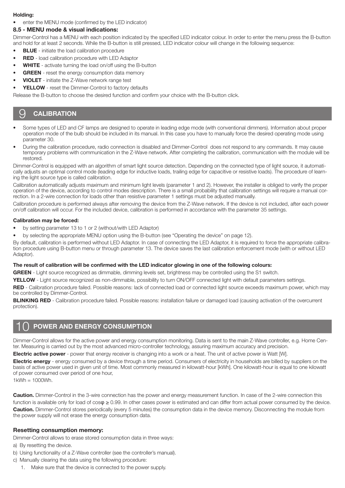#### Holding:

enter the MENU mode (confirmed by the LED indicator)

### 8.5 - MENU mode & visual indications:

Dimmer-Control has a MENU with each position indicated by the specified LED indicator colour. In order to enter the menu press the B-button and hold for at least 2 seconds. While the B-button is still pressed, LED indicator colour will change in the following sequence:

- **BLUE** initiate the load calibration procedure
- **RED** load calibration procedure with LED Adaptor
- WHITE activate turning the load on/off using the B-button
- **GREEN** reset the energy consumption data memory
- VIOLET initiate the Z-Wave network range test
- YELLOW reset the Dimmer-Control to factory defaults

Release the B-button to choose the desired function and confirm your choice with the B-button click.

# **CALIBRATION**

- Some types of LED and CF lamps are designed to operate in leading edge mode (with conventional dimmers). Information about proper operation mode of the bulb should be included in its manual. In this case you have to manually force the desired operating mode using parameter 30.
- During the calibration procedure, radio connection is disabled and Dimmer-Control does not respond to any commands. It may cause temporary problems with communication in the Z-Wave network. After completing the calibration, communication with the module will be restored.

Dimmer-Control is equipped with an algorithm of smart light source detection. Depending on the connected type of light source, it automatically adjusts an optimal control mode (leading edge for inductive loads, trailing edge for capacitive or resistive loads). The procedure of learning the light source type is called calibration.

Calibration automatically adjusts maximum and minimum light levels (parameter 1 and 2). However, the installer is obliged to verify the proper operation of the device, according to control modes description. There is a small probability that calibration settings will require a manual correction. In a 2-wire connection for loads other than resistive parameter 1 settings must be adjusted manually.

Calibration procedure is performed always after removing the device from the Z-Wave network. If the device is not included, after each power on/off calibration will occur. For the included device, calibration is performed in accordance with the parameter 35 settings.

#### Calibration may be forced:

- by setting parameter 13 to 1 or 2 (without/with LED Adaptor)
- by selecting the appropriate MENU option using the B-button (see "Operating the device" on page 12).

By default, calibration is performed without LED Adaptor. In case of connecting the LED Adaptor, it is required to force the appropriate calibration procedure using B-button menu or through parameter 13. The device saves the last calibration enforcement mode (with or without LED Adaptor).

#### The result of calibration will be confirmed with the LED indicator glowing in one of the following colours:

GREEN - Light source recognized as dimmable, dimming levels set, brightness may be controlled using the S1 switch.

YELLOW - Light source recognized as non-dimmable, possibility to turn ON/OFF connected light with default parameters settings.

RED - Calibration procedure failed. Possible reasons: lack of connected load or connected light source exceeds maximum power, which may be controlled by Dimmer-Control.

BLINKING RED - Calibration procedure failed. Possible reasons: installation failure or damaged load (causing activation of the overcurrent protection).

# POWER AND ENERGY CONSUMPTION

Dimmer-Control allows for the active power and energy consumption monitoring. Data is sent to the main Z-Wave controller, e.g. Home Center. Measuring is carried out by the most advanced micro-controller technology, assuring maximum accuracy and precision.

**Electric active power** - power that energy receiver is changing into a work or a heat. The unit of active power is Watt [W].

Electric energy - energy consumed by a device through a time period. Consumers of electricity in households are billed by suppliers on the basis of active power used in given unit of time. Most commonly measured in kilowatt-hour [kWh]. One kilowatt-hour is equal to one kilowatt of power consumed over period of one hour,

 $1$ kWh =  $1000$ Wh.

Caution. Dimmer-Control in the 3-wire connection has the power and energy measurement function. In case of the 2-wire connection this function is available only for load of cosφ ≥ 0.99. In other cases power is estimated and can differ from actual power consumed by the device. Caution. Dimmer-Control stores periodically (every 5 minutes) the consumption data in the device memory. Disconnecting the module from the power supply will not erase the energy consumption data.

#### Resetting consumption memory:

Dimmer-Control allows to erase stored consumption data in three ways:

- a) By resetting the device.
- b) Using functionality of a Z-Wave controller (see the controller's manual).
- c) Manually clearing the data using the following procedure:
	- 1. Make sure that the device is connected to the power supply.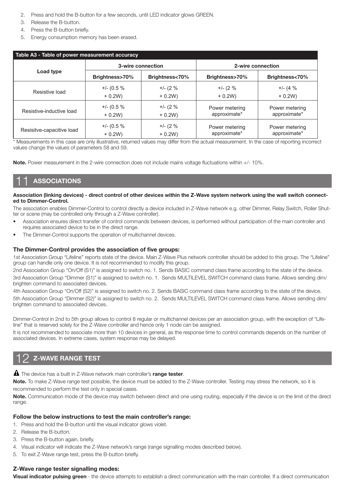- 2. Press and hold the B-button for a few seconds, until LED indicator glows GREEN.
- 3. Release the B-button.
- 4. Press the B-button briefly.
- 5. Energy consumption memory has been erased.

| Table A3 - Table of power measurement accuracy |                   |                |                   |                |  |
|------------------------------------------------|-------------------|----------------|-------------------|----------------|--|
|                                                | 3-wire connection |                | 2-wire connection |                |  |
| Load type                                      | Brightness>70%    | Brightness<70% | Brightness>70%    | Brightness<70% |  |
| Resistive load                                 | $+/- (0.5 %$      | $+/- (2\%$     | $+/- (2\%$        | $+/- (4\%$     |  |
|                                                | $+0.2W$           | $+0.2W$        | $+0.2W$           | $+ 0.2W$       |  |
| Resistive-inductive load                       | $+/- (0.5 %$      | $+/- (2\%$     | Power metering    | Power metering |  |
|                                                | $+0.2W$           | $+0.2W$        | approximate*      | approximate*   |  |
| Resisitve-capacitive load                      | $+/- (0.5 %$      | $+/- (2\%$     | Power metering    | Power metering |  |
|                                                | $+ 0.2W$          | $+0.2W$        | approximate*      | approximate*   |  |

\* Measurements in this case are only illustrative, returned values may differ from the actual measurement. In the case of reporting incorrect values change the values of parameters 58 and 59.

Note. Power measurement in the 2-wire connection does not include mains voltage fluctuations within +/- 10%.

# **ASSOCIATIONS**

#### Association (linking devices) - direct control of other devices within the Z-Wave system network using the wall switch connected to Dimmer-Control.

The association enables Dimmer-Control to control directly a device included in Z-Wave network e.g. other Dimmer, Relay Switch, Roller Shutter or scene (may be controlled only through a Z-Wave controller).

- Association ensures direct transfer of control commands between devices, is performed without participation of the main controller and requires associated device to be in the direct range.
- The Dimmer-Control supports the operation of multichannel devices.

#### The Dimmer-Control provides the association of five groups:

1st Association Group "Lifeline" reports state of the device. Main Z-Wave Plus network controller should be added to this group. The "Lifeline" group can handle only one device. It is not recommended to modify this group.

2nd Association Group "On/Off (S1)" is assigned to switch no. 1. Sends BASIC command class frame according to the state of the device. 3rd Association Group "Dimmer (S1)" is assigned to switch no. 1. Sends MULTILEVEL SWITCH command class frame. Allows sending dim/ brighten command to associated devices.

4th Association Group "On/Off (S2)" is assigned to switch no. 2. Sends BASIC command class frame according to the state of the device. 5th Association Group "Dimmer (S2)" is assigned to switch no. 2. Sends MULTILEVEL SWITCH command class frame. Allows sending dim/ brighten command to associated devices.

Dimmer-Control in 2nd to 5th group allows to control 8 regular or multichannel devices per an association group, with the exception of "Lifeline" that is reserved solely for the Z-Wave controller and hence only 1 node can be assigned.

It is not recommended to associate more than 10 devices in general, as the response time to control commands depends on the number of associated devices. In extreme cases, system response may be delayed.

# **Z-WAVE RANGE TEST**

**A** The device has a built in Z-Wave network main controller's range tester.

Note. To make Z-Wave range test possible, the device must be added to the Z-Wave controller. Testing may stress the network, so it is recommended to perform the test only in special cases.

Note. Communication mode of the device may switch between direct and one using routing, especially if the device is on the limit of the direct range.

#### Follow the below instructions to test the main controller's range:

- 1. Press and hold the B-button until the visual indicator glows violet.
- 2. Release the B-button.
- 3. Press the B-button again, briefly.
- 4. Visual indicator will indicate the Z-Wave network's range (range signalling modes described below).
- 5. To exit Z-Wave range test, press the B-button briefly.

#### Z-Wave range tester signalling modes:

Visual indicator pulsing green - the device attempts to establish a direct communication with the main controller. If a direct communication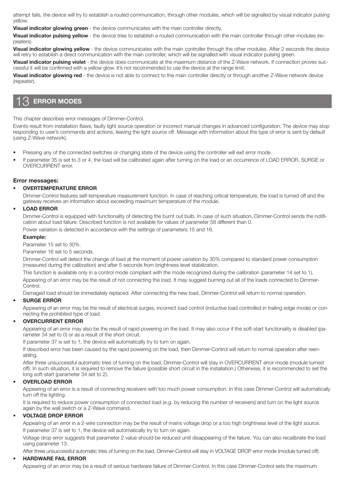attempt fails, the device will try to establish a routed communication, through other modules, which will be signalled by visual indicator pulsing yellow.

Visual indicator glowing green - the device communicates with the main controller directly.

Visual indicator pulsing yellow - the device tries to establish a routed communication with the main controller through other modules (repeaters).

Visual indicator glowing yellow - the device communicates with the main controller through the other modules. After 2 seconds the device will retry to establish a direct communication with the main controller, which will be signalled with visual indicator pulsing green.

Visual indicator pulsing violet - the device does communicate at the maximum distance of the Z-Wave network. If connection proves successful it will be confirmed with a yellow glow. It's not recommended to use the device at the range limit.

Visual indicator glowing red - the device is not able to connect to the main controller directly or through another Z-Wave network device (repeater).

# **ERROR MODES**

This chapter describes error messages of Dimmer-Control.

Events result from installation flaws, faulty light source operation or incorrect manual changes in advanced configuration. The device may stop responding to user's commands and actions, leaving the light source off. Message with information about the type of error is sent by default (using Z-Wave network).

- Pressing any of the connected switches or changing state of the device using the controller will exit error mode.
- If parameter 35 is set to 3 or 4, the load will be calibrated again after turning on the load or an occurrence of LOAD ERROR, SURGE or OVERCURRENT error.

#### Error messages:

#### • OVERTEMPERATURE ERROR

Dimmer-Control features self-temperature measurement function. In case of reaching critical temperature, the load is turned off and the gateway receives an information about exceeding maximum temperature of the module.

#### **LOAD ERROR**

Dimmer-Control is equipped with functionality of detecting the burnt out bulb. In case of such situation, Dimmer-Control sends the notification about load failure. Described function is not available for values of parameter 58 different than 0.

Power variation is detected in accordance with the settings of parameters 15 and 16.

#### Example:

Parameter 15 set to 30%.

Parameter 16 set to 5 seconds.

Dimmer-Control will detect the change of load at the moment of power variation by 30% compared to standard power consumption (measured during the calibration) and after 5 seconds from brightness level stabilization.

This function is available only in a control mode compliant with the mode recognized during the calibration (parameter 14 set to 1). Appearing of an error may be the result of not connecting the load. It may suggest burning out all of the loads connected to Dimmer-

**Control** 

Damaged load should be immediately replaced. After connecting the new load, Dimmer-Control will return to normal operation.

#### **SURGE ERROR**

Appearing of an error may be the result of electrical surges, incorrect load control (inductive load controlled in trailing edge mode) or connecting the prohibited type of load.

#### • OVERCURRENT ERROR

Appearing of an error may also be the result of rapid powering on the load. It may also occur if the soft-start functionality is disabled (parameter 34 set to 0) or as a result of the short circuit.

If parameter 37 is set to 1, the device will automatically try to turn on again.

If described error has been caused by the rapid powering on the load, then Dimmer-Control will return to normal operation after reenabling.

After three unsuccessful automatic tries of turning on the load, Dimmer-Control will stay in OVERCURRENT error mode (module turned off). In such situation, it is required to remove the failure (possible short circuit in the installation.) Otherwise, it is recommended to set the long soft-start (parameter 34 set to 2).

#### • OVERLOAD ERROR

Appearing of an error is a result of connecting receivers with too much power consumption. In this case Dimmer-Control will automatically turn off the lighting.

It is required to reduce power consumption of connected load (e.g. by reducing the number of receivers) and turn on the light source again by the wall switch or a Z-Wave command.

#### • VOLTAGE DROP ERROR

Appearing of an error in a 2-wire connection may be the result of mains voltage drop or a too high brightness level of the light source. If parameter 37 is set to 1, the device will automatically try to turn on again.

Voltage drop error suggests that parameter 2 value should be reduced until disappearing of the failure. You can also recalibrate the load using parameter 13.

After three unsuccessful automatic tries of turning on the load, Dimmer-Control will stay in VOLTAGE DROP error mode (module turned off).

#### • HARDWARE FAIL ERROR

Appearing of an error may be a result of serious hardware failure of Dimmer-Control. In this case Dimmer-Control sets the maximum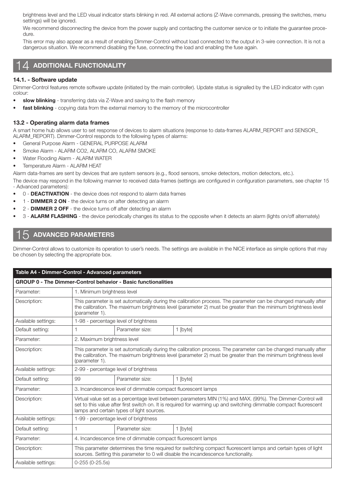brightness level and the LED visual indicator starts blinking in red. All external actions (Z-Wave commands, pressing the switches, menu settings) will be ignored.

We recommend disconnecting the device from the power supply and contacting the customer service or to initiate the guarantee procedure.

This error may also appear as a result of enabling Dimmer-Control without load connected to the output in 3-wire connection. It is not a dangerous situation. We recommend disabling the fuse, connecting the load and enabling the fuse again.

### 14 ADDITIONAL FUNCTIONALITY

#### 14.1. - Software update

Dimmer-Control features remote software update (initiated by the main controller). Update status is signalled by the LED indicator with cyan colour:

- slow blinking transferring data via Z-Wave and saving to the flash memory
- fast blinking copying data from the external memory to the memory of the microcontroller

#### 13.2 - Operating alarm data frames

A smart home hub allows user to set response of devices to alarm situations (response to data-frames ALARM\_REPORT and SENSOR\_ ALARM\_REPORT). Dimmer-Control responds to the following types of alarms:

- General Purpose Alarm GENERAL PURPOSE ALARM
- Smoke Alarm ALARM CO2, ALARM CO, ALARM SMOKE
- Water Flooding Alarm ALARM WATER
- Temperature Alarm ALARM HEAT

Alarm data-frames are sent by devices that are system sensors (e.g., flood sensors, smoke detectors, motion detectors, etc.).

The device may respond in the following manner to received data-frames (settings are configured in configuration parameters, see chapter 15 - Advanced parameters):

- 0 DEACTIVATION the device does not respond to alarm data frames
- 1 DIMMER 2 ON the device turns on after detecting an alarm
- 2 DIMMER 2 OFF the device turns off after detecting an alarm
- 3 **ALARM FLASHING** the device periodically changes its status to the opposite when it detects an alarm (lights on/off alternately)

# 15 ADVANCED PARAMETERS

Dimmer-Control allows to customize its operation to user's needs. The settings are available in the NICE interface as simple options that may be chosen by selecting the appropriate box.

| Table A4 - Dimmer-Control - Advanced parameters |                                                                                                                                                                                                                                                                               |                                       |          |  |
|-------------------------------------------------|-------------------------------------------------------------------------------------------------------------------------------------------------------------------------------------------------------------------------------------------------------------------------------|---------------------------------------|----------|--|
|                                                 | <b>GROUP 0 - The Dimmer-Control behavior - Basic functionalities</b>                                                                                                                                                                                                          |                                       |          |  |
| Parameter:                                      | 1. Minimum brightness level                                                                                                                                                                                                                                                   |                                       |          |  |
| Description:                                    | This parameter is set automatically during the calibration process. The parameter can be changed manually after<br>the calibration. The maximum brightness level (parameter 2) must be greater than the minimum brightness level<br>(parameter 1).                            |                                       |          |  |
| Available settings:                             |                                                                                                                                                                                                                                                                               | 1-98 - percentage level of brightness |          |  |
| Default setting:                                |                                                                                                                                                                                                                                                                               | Parameter size:                       | 1 [byte] |  |
| Parameter:                                      | 2. Maximum brightness level                                                                                                                                                                                                                                                   |                                       |          |  |
| Description:                                    | This parameter is set automatically during the calibration process. The parameter can be changed manually after<br>the calibration. The maximum brightness level (parameter 2) must be greater than the minimum brightness level<br>(parameter 1).                            |                                       |          |  |
| Available settings:                             | 2-99 - percentage level of brightness                                                                                                                                                                                                                                         |                                       |          |  |
| Default setting:                                | 99<br>Parameter size:<br>1 [byte]                                                                                                                                                                                                                                             |                                       |          |  |
| Parameter:                                      | 3. Incandescence level of dimmable compact fluorescent lamps                                                                                                                                                                                                                  |                                       |          |  |
| Description:                                    | Virtual value set as a percentage level between parameters MIN (1%) and MAX. (99%). The Dimmer-Control will<br>set to this value after first switch on. It is required for warming up and switching dimmable compact fluorescent<br>lamps and certain types of light sources. |                                       |          |  |
| Available settings:                             | 1-99 - percentage level of brightness                                                                                                                                                                                                                                         |                                       |          |  |
| Default setting:                                |                                                                                                                                                                                                                                                                               | Parameter size:                       | 1 [byte] |  |
| Parameter:                                      | 4. Incandescence time of dimmable compact fluorescent lamps                                                                                                                                                                                                                   |                                       |          |  |
| Description:                                    | This parameter determines the time required for switching compact fluorescent lamps and certain types of light<br>sources. Setting this parameter to 0 will disable the incandescence functionality.                                                                          |                                       |          |  |
| Available settings:                             | $0-255(0-25.5s)$                                                                                                                                                                                                                                                              |                                       |          |  |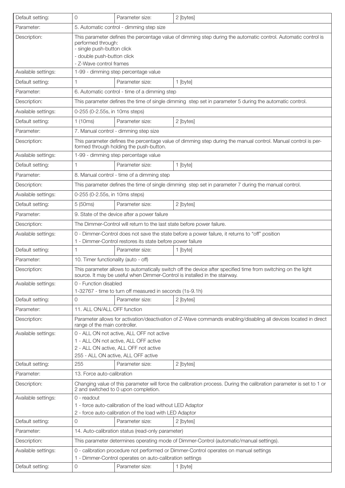| Default setting:    | 0                                                                                                                                                                                                                           | Parameter size:                                                                                                       | 2 [bytes]                                                                                                                                                                                   |
|---------------------|-----------------------------------------------------------------------------------------------------------------------------------------------------------------------------------------------------------------------------|-----------------------------------------------------------------------------------------------------------------------|---------------------------------------------------------------------------------------------------------------------------------------------------------------------------------------------|
| Parameter:          | 5. Automatic control - dimming step size                                                                                                                                                                                    |                                                                                                                       |                                                                                                                                                                                             |
| Description:        | This parameter defines the percentage value of dimming step during the automatic control. Automatic control is<br>performed through:<br>- single push-button click<br>- double push-button click<br>- Z-Wave control frames |                                                                                                                       |                                                                                                                                                                                             |
| Available settings: | 1-99 - dimming step percentage value                                                                                                                                                                                        |                                                                                                                       |                                                                                                                                                                                             |
| Default setting:    |                                                                                                                                                                                                                             | Parameter size:                                                                                                       | 1 [byte]                                                                                                                                                                                    |
| Parameter:          |                                                                                                                                                                                                                             | 6. Automatic control - time of a dimming step                                                                         |                                                                                                                                                                                             |
| Description:        |                                                                                                                                                                                                                             |                                                                                                                       | This parameter defines the time of single dimming step set in parameter 5 during the automatic control.                                                                                     |
| Available settings: | 0-255 (0-2.55s, in 10ms steps)                                                                                                                                                                                              |                                                                                                                       |                                                                                                                                                                                             |
| Default setting:    | 1(10ms)                                                                                                                                                                                                                     | Parameter size:                                                                                                       | 2 [bytes]                                                                                                                                                                                   |
| Parameter:          | 7. Manual control - dimming step size                                                                                                                                                                                       |                                                                                                                       |                                                                                                                                                                                             |
| Description:        |                                                                                                                                                                                                                             | formed through holding the push-button.                                                                               | This parameter defines the percentage value of dimming step during the manual control. Manual control is per-                                                                               |
| Available settings: | 1-99 - dimming step percentage value                                                                                                                                                                                        |                                                                                                                       |                                                                                                                                                                                             |
| Default setting:    |                                                                                                                                                                                                                             | Parameter size:                                                                                                       | 1 [byte]                                                                                                                                                                                    |
| Parameter:          |                                                                                                                                                                                                                             | 8. Manual control - time of a dimming step                                                                            |                                                                                                                                                                                             |
| Description:        |                                                                                                                                                                                                                             |                                                                                                                       | This parameter defines the time of single dimming step set in parameter 7 during the manual control.                                                                                        |
| Available settings: | 0-255 (0-2.55s, in 10ms steps)                                                                                                                                                                                              |                                                                                                                       |                                                                                                                                                                                             |
| Default setting:    | 5 (50ms)                                                                                                                                                                                                                    | Parameter size:                                                                                                       | 2 [bytes]                                                                                                                                                                                   |
| Parameter:          |                                                                                                                                                                                                                             | 9. State of the device after a power failure                                                                          |                                                                                                                                                                                             |
| Description:        | The Dimmer-Control will return to the last state before power failure.                                                                                                                                                      |                                                                                                                       |                                                                                                                                                                                             |
| Available settings: | 0 - Dimmer-Control does not save the state before a power failure, it returns to "off" position<br>1 - Dimmer-Control restores its state before power failure                                                               |                                                                                                                       |                                                                                                                                                                                             |
| Default setting:    | 1                                                                                                                                                                                                                           | Parameter size:                                                                                                       | 1 [byte]                                                                                                                                                                                    |
| Parameter:          | 10. Timer functionality (auto - off)                                                                                                                                                                                        |                                                                                                                       |                                                                                                                                                                                             |
| Description:        |                                                                                                                                                                                                                             |                                                                                                                       | This parameter allows to automatically switch off the device after specified time from switching on the light<br>source. It may be useful when Dimmer-Control is installed in the stairway. |
| Available settings: | 0 - Function disabled                                                                                                                                                                                                       |                                                                                                                       |                                                                                                                                                                                             |
|                     |                                                                                                                                                                                                                             | 1-32767 - time to turn off measured in seconds (1s-9.1h)                                                              |                                                                                                                                                                                             |
| Default setting:    | 0                                                                                                                                                                                                                           | Parameter size:                                                                                                       | 2 [bytes]                                                                                                                                                                                   |
| Parameter:          | 11. ALL ON/ALL OFF function                                                                                                                                                                                                 |                                                                                                                       |                                                                                                                                                                                             |
| Description:        | range of the main controller.                                                                                                                                                                                               |                                                                                                                       | Parameter allows for activation/deactivation of Z-Wave commands enabling/disabling all devices located in direct                                                                            |
| Available settings: | 1 - ALL ON not active, ALL OFF active<br>2 - ALL ON active, ALL OFF not active<br>255 - ALL ON active, ALL OFF active                                                                                                       | 0 - ALL ON not active, ALL OFF not active                                                                             |                                                                                                                                                                                             |
| Default setting:    | 255                                                                                                                                                                                                                         | Parameter size:                                                                                                       | 2 [bytes]                                                                                                                                                                                   |
| Parameter:          | 13. Force auto-calibration                                                                                                                                                                                                  |                                                                                                                       |                                                                                                                                                                                             |
| Description:        | Changing value of this parameter will force the calibration process. During the calibration parameter is set to 1 or<br>2 and switched to 0 upon completion.                                                                |                                                                                                                       |                                                                                                                                                                                             |
| Available settings: | 0 - readout                                                                                                                                                                                                                 | 1 - force auto-calibration of the load without LED Adaptor<br>2 - force auto-calibration of the load with LED Adaptor |                                                                                                                                                                                             |
| Default setting:    | 0                                                                                                                                                                                                                           | Parameter size:                                                                                                       | 2 [bytes]                                                                                                                                                                                   |
| Parameter:          |                                                                                                                                                                                                                             | 14. Auto-calibration status (read-only parameter)                                                                     |                                                                                                                                                                                             |
| Description:        |                                                                                                                                                                                                                             |                                                                                                                       | This parameter determines operating mode of Dimmer-Control (automatic/manual settings).                                                                                                     |
| Available settings: |                                                                                                                                                                                                                             | 1 - Dimmer-Control operates on auto-calibration settings                                                              | 0 - calibration procedure not performed or Dimmer-Control operates on manual settings                                                                                                       |
| Default setting:    | 0                                                                                                                                                                                                                           | Parameter size:                                                                                                       | 1 [byte]                                                                                                                                                                                    |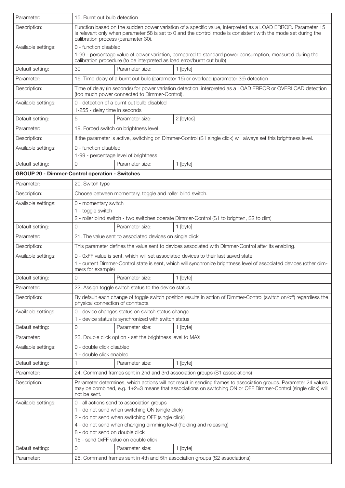| Parameter:          | 15. Burnt out bulb detection                                                                                                                                                                                                                                                                          |  |  |
|---------------------|-------------------------------------------------------------------------------------------------------------------------------------------------------------------------------------------------------------------------------------------------------------------------------------------------------|--|--|
| Description:        | Function based on the sudden power variation of a specific value, interpreted as a LOAD ERROR. Parameter 15<br>is relevant only when parameter 58 is set to 0 and the control mode is consistent with the mode set during the<br>calibration process (parameter 30).                                  |  |  |
| Available settings: | 0 - function disabled<br>1-99 - percentage value of power variation, compared to standard power consumption, measured during the<br>calibration procedure (to be interpreted as load error/burnt out bulb)                                                                                            |  |  |
| Default setting:    | 30<br>Parameter size:<br>1 [byte]                                                                                                                                                                                                                                                                     |  |  |
| Parameter:          | 16. Time delay of a burnt out bulb (parameter 15) or overload (parameter 39) detection                                                                                                                                                                                                                |  |  |
| Description:        | Time of delay (in seconds) for power variation detection, interpreted as a LOAD ERROR or OVERLOAD detection<br>(too much power connected to Dimmer-Control).                                                                                                                                          |  |  |
| Available settings: | 0 - detection of a burnt out bulb disabled                                                                                                                                                                                                                                                            |  |  |
|                     | 1-255 - delay time in seconds                                                                                                                                                                                                                                                                         |  |  |
| Default setting:    | 5<br>Parameter size:<br>2 [bytes]                                                                                                                                                                                                                                                                     |  |  |
| Parameter:          | 19. Forced switch on brightness level                                                                                                                                                                                                                                                                 |  |  |
| Description:        | If the parameter is active, switching on Dimmer-Control (S1 single click) will always set this brightness level.                                                                                                                                                                                      |  |  |
| Available settings: | 0 - function disabled<br>1-99 - percentage level of brightness                                                                                                                                                                                                                                        |  |  |
| Default setting:    | Parameter size:<br>1 [byte]<br>O                                                                                                                                                                                                                                                                      |  |  |
|                     | <b>GROUP 20 - Dimmer-Control operation - Switches</b>                                                                                                                                                                                                                                                 |  |  |
| Parameter:          | 20. Switch type                                                                                                                                                                                                                                                                                       |  |  |
| Description:        | Choose between momentary, toggle and roller blind switch.                                                                                                                                                                                                                                             |  |  |
| Available settings: | 0 - momentary switch<br>1 - toggle switch<br>2 - roller blind switch - two switches operate Dimmer-Control (S1 to brighten, S2 to dim)                                                                                                                                                                |  |  |
| Default setting:    | Parameter size:<br>1 [byte]<br>O                                                                                                                                                                                                                                                                      |  |  |
| Parameter:          | 21. The value sent to associated devices on single click                                                                                                                                                                                                                                              |  |  |
| Description:        | This parameter defines the value sent to devices associated with Dimmer-Control after its enabling.                                                                                                                                                                                                   |  |  |
| Available settings: | 0 - 0xFF value is sent, which will set associated devices to their last saved state                                                                                                                                                                                                                   |  |  |
|                     | 1 - current Dimmer-Control state is sent, which will synchronize brightness level of associated devices (other dim-<br>mers for example)                                                                                                                                                              |  |  |
| Default setting:    | 0<br>Parameter size:<br>1 [byte]                                                                                                                                                                                                                                                                      |  |  |
| Parameter:          | 22. Assign toggle switch status to the device status                                                                                                                                                                                                                                                  |  |  |
| Description:        | By default each change of toggle switch position results in action of Dimmer-Control (switch on/off) regardless the<br>physical connection of conntacts.                                                                                                                                              |  |  |
| Available settings: | 0 - device changes status on switch status change                                                                                                                                                                                                                                                     |  |  |
|                     | 1 - device status is synchronized with switch status                                                                                                                                                                                                                                                  |  |  |
| Default setting:    | Parameter size:<br>0<br>1 [byte]                                                                                                                                                                                                                                                                      |  |  |
| Parameter:          | 23. Double click option - set the brightness level to MAX                                                                                                                                                                                                                                             |  |  |
| Available settings: | 0 - double click disabled<br>1 - double click enabled                                                                                                                                                                                                                                                 |  |  |
| Default setting:    | Parameter size:<br>1 [byte]                                                                                                                                                                                                                                                                           |  |  |
| Parameter:          | 24. Command frames sent in 2nd and 3rd association groups (S1 associations)                                                                                                                                                                                                                           |  |  |
| Description:        | Parameter determines, which actions will not result in sending frames to association groups. Parameter 24 values<br>may be combined, e.g. 1+2=3 means that associations on switching ON or OFF Dimmer-Control (single click) will<br>not be sent.                                                     |  |  |
| Available settings: | 0 - all actions send to association groups<br>1 - do not send when switching ON (single click)<br>2 - do not send when switching OFF (single click)<br>4 - do not send when changing dimming level (holding and releasing)<br>8 - do not send on double click<br>16 - send 0xFF value on double click |  |  |
| Default setting:    | 0<br>Parameter size:<br>1 [byte]                                                                                                                                                                                                                                                                      |  |  |
| Parameter:          | 25. Command frames sent in 4th and 5th association groups (S2 associations)                                                                                                                                                                                                                           |  |  |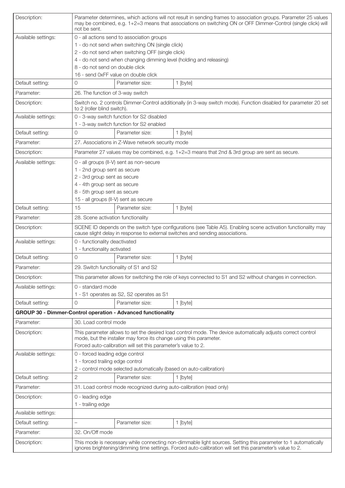| Description:        | not be sent.                                                                                                                                                                       |                                                                                       | Parameter determines, which actions will not result in sending frames to association groups. Parameter 25 values<br>may be combined, e.g. 1+2=3 means that associations on switching ON or OFF Dimmer-Control (single click) will |
|---------------------|------------------------------------------------------------------------------------------------------------------------------------------------------------------------------------|---------------------------------------------------------------------------------------|-----------------------------------------------------------------------------------------------------------------------------------------------------------------------------------------------------------------------------------|
| Available settings: | 0 - all actions send to association groups                                                                                                                                         |                                                                                       |                                                                                                                                                                                                                                   |
|                     | 1 - do not send when switching ON (single click)                                                                                                                                   |                                                                                       |                                                                                                                                                                                                                                   |
|                     | 2 - do not send when switching OFF (single click)                                                                                                                                  |                                                                                       |                                                                                                                                                                                                                                   |
|                     | 4 - do not send when changing dimming level (holding and releasing)                                                                                                                |                                                                                       |                                                                                                                                                                                                                                   |
|                     | 8 - do not send on double click                                                                                                                                                    |                                                                                       |                                                                                                                                                                                                                                   |
| Default setting:    | 0                                                                                                                                                                                  | 16 - send 0xFF value on double click<br>Parameter size:                               |                                                                                                                                                                                                                                   |
|                     |                                                                                                                                                                                    |                                                                                       | 1 [byte]                                                                                                                                                                                                                          |
| Parameter:          | 26. The function of 3-way switch                                                                                                                                                   |                                                                                       |                                                                                                                                                                                                                                   |
| Description:        | to 2 (roller blind switch).                                                                                                                                                        |                                                                                       | Switch no. 2 controls Dimmer-Control additionally (in 3-way switch mode). Function disabled for parameter 20 set                                                                                                                  |
| Available settings: |                                                                                                                                                                                    | 0 - 3-way switch function for S2 disabled<br>1 - 3-way switch function for S2 enabled |                                                                                                                                                                                                                                   |
| Default setting:    | 0                                                                                                                                                                                  | Parameter size:                                                                       | 1 [byte]                                                                                                                                                                                                                          |
| Parameter:          |                                                                                                                                                                                    | 27. Associations in Z-Wave network security mode                                      |                                                                                                                                                                                                                                   |
| Description:        |                                                                                                                                                                                    |                                                                                       | Parameter 27 values may be combined, e.g. 1+2=3 means that 2nd & 3rd group are sent as secure.                                                                                                                                    |
|                     |                                                                                                                                                                                    |                                                                                       |                                                                                                                                                                                                                                   |
| Available settings: | 1 - 2nd group sent as secure                                                                                                                                                       | 0 - all groups (II-V) sent as non-secure                                              |                                                                                                                                                                                                                                   |
|                     | 2 - 3rd group sent as secure                                                                                                                                                       |                                                                                       |                                                                                                                                                                                                                                   |
|                     | 4 - 4th group sent as secure                                                                                                                                                       |                                                                                       |                                                                                                                                                                                                                                   |
|                     | 8 - 5th group sent as secure                                                                                                                                                       |                                                                                       |                                                                                                                                                                                                                                   |
|                     |                                                                                                                                                                                    | 15 - all groups (II-V) sent as secure                                                 |                                                                                                                                                                                                                                   |
| Default setting:    | 15                                                                                                                                                                                 | Parameter size:                                                                       | 1 [byte]                                                                                                                                                                                                                          |
| Parameter:          | 28. Scene activation functionality                                                                                                                                                 |                                                                                       |                                                                                                                                                                                                                                   |
| Description:        | SCENE ID depends on the switch type configurations (see Table A5). Enabling scene activation functionality may                                                                     |                                                                                       |                                                                                                                                                                                                                                   |
|                     |                                                                                                                                                                                    |                                                                                       | cause slight delay in response to external switches and sending associations.                                                                                                                                                     |
| Available settings: | 0 - functionality deactivated<br>1 - functionality activated                                                                                                                       |                                                                                       |                                                                                                                                                                                                                                   |
| Default setting:    | $\Omega$                                                                                                                                                                           | Parameter size:                                                                       | 1 [byte]                                                                                                                                                                                                                          |
| Parameter:          | 29. Switch functionality of S1 and S2                                                                                                                                              |                                                                                       |                                                                                                                                                                                                                                   |
| Description:        |                                                                                                                                                                                    |                                                                                       | This parameter allows for switching the role of keys connected to S1 and S2 without changes in connection.                                                                                                                        |
| Available settings: | 0 - standard mode                                                                                                                                                                  |                                                                                       |                                                                                                                                                                                                                                   |
|                     |                                                                                                                                                                                    | 1 - S1 operates as S2, S2 operates as S1                                              |                                                                                                                                                                                                                                   |
| Default setting:    | 0                                                                                                                                                                                  | Parameter size:                                                                       | 1 [byte]                                                                                                                                                                                                                          |
|                     |                                                                                                                                                                                    | GROUP 30 - Dimmer-Control operation - Advanced functionality                          |                                                                                                                                                                                                                                   |
| Parameter:          | 30. Load control mode                                                                                                                                                              |                                                                                       |                                                                                                                                                                                                                                   |
| Description:        | This parameter allows to set the desired load control mode. The device automatically adjusts correct control<br>mode, but the installer may force its change using this parameter. |                                                                                       |                                                                                                                                                                                                                                   |
|                     |                                                                                                                                                                                    | Forced auto-calibration will set this parameter's value to 2.                         |                                                                                                                                                                                                                                   |
| Available settings: | 0 - forced leading edge control                                                                                                                                                    |                                                                                       |                                                                                                                                                                                                                                   |
|                     | 1 - forced trailing edge control                                                                                                                                                   |                                                                                       |                                                                                                                                                                                                                                   |
|                     |                                                                                                                                                                                    | 2 - control mode selected automatically (based on auto-calibration)                   |                                                                                                                                                                                                                                   |
| Default setting:    | $\sqrt{2}$                                                                                                                                                                         | Parameter size:                                                                       | 1 [byte]                                                                                                                                                                                                                          |
| Parameter:          |                                                                                                                                                                                    | 31. Load control mode recognized during auto-calibration (read only)                  |                                                                                                                                                                                                                                   |
| Description:        | 0 - leading edge<br>1 - trailing edge                                                                                                                                              |                                                                                       |                                                                                                                                                                                                                                   |
| Available settings: |                                                                                                                                                                                    |                                                                                       |                                                                                                                                                                                                                                   |
| Default setting:    |                                                                                                                                                                                    | Parameter size:                                                                       | 1 [byte]                                                                                                                                                                                                                          |
|                     |                                                                                                                                                                                    |                                                                                       |                                                                                                                                                                                                                                   |
| Parameter:          | 32. On/Off mode                                                                                                                                                                    |                                                                                       |                                                                                                                                                                                                                                   |
| Description:        |                                                                                                                                                                                    |                                                                                       | This mode is necessary while connecting non-dimmable light sources. Setting this parameter to 1 automatically<br>ignores brightening/dimming time settings. Forced auto-calibration will set this parameter's value to 2.         |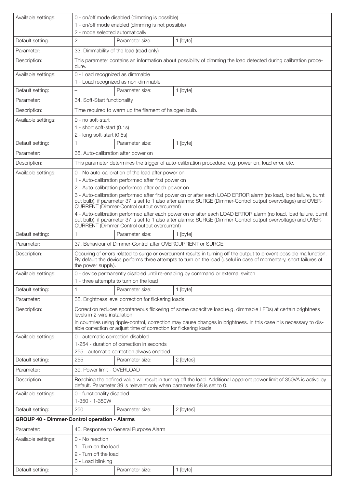| Available settings:                                 |                                                                                                                                                                                                                                                                                 | 0 - on/off mode disabled (dimming is possible)                     |                                                                                                                       |
|-----------------------------------------------------|---------------------------------------------------------------------------------------------------------------------------------------------------------------------------------------------------------------------------------------------------------------------------------|--------------------------------------------------------------------|-----------------------------------------------------------------------------------------------------------------------|
|                                                     | 2 - mode selected automatically                                                                                                                                                                                                                                                 | 1 - on/off mode enabled (dimming is not possible)                  |                                                                                                                       |
| Default setting:                                    | $\overline{2}$                                                                                                                                                                                                                                                                  | Parameter size:                                                    | 1 [byte]                                                                                                              |
| Parameter:                                          |                                                                                                                                                                                                                                                                                 | 33. Dimmability of the load (read only)                            |                                                                                                                       |
| Description:                                        | dure.                                                                                                                                                                                                                                                                           |                                                                    | This parameter contains an information about possibility of dimming the load detected during calibration proce-       |
| Available settings:                                 | 0 - Load recognized as dimmable                                                                                                                                                                                                                                                 | 1 - Load recognized as non-dimmable                                |                                                                                                                       |
| Default setting:                                    |                                                                                                                                                                                                                                                                                 | Parameter size:                                                    | 1 [byte]                                                                                                              |
| Parameter:                                          | 34. Soft-Start functionality                                                                                                                                                                                                                                                    |                                                                    |                                                                                                                       |
| Description:                                        |                                                                                                                                                                                                                                                                                 | Time required to warm up the filament of halogen bulb.             |                                                                                                                       |
| Available settings:                                 | 0 - no soft-start                                                                                                                                                                                                                                                               |                                                                    |                                                                                                                       |
|                                                     | 1 - short soft-start (0.1s)                                                                                                                                                                                                                                                     |                                                                    |                                                                                                                       |
|                                                     | 2 - long soft-start (0.5s)                                                                                                                                                                                                                                                      |                                                                    |                                                                                                                       |
| Default setting:                                    | 1                                                                                                                                                                                                                                                                               | Parameter size:                                                    | 1 [byte]                                                                                                              |
| Parameter:                                          | 35. Auto-calibration after power on                                                                                                                                                                                                                                             |                                                                    |                                                                                                                       |
| Description:                                        |                                                                                                                                                                                                                                                                                 |                                                                    | This parameter determines the trigger of auto-calibration procedure, e.g. power on, load error, etc.                  |
| Available settings:                                 |                                                                                                                                                                                                                                                                                 | 0 - No auto-calibration of the load after power on                 |                                                                                                                       |
|                                                     |                                                                                                                                                                                                                                                                                 | 1 - Auto-calibration performed after first power on                |                                                                                                                       |
|                                                     |                                                                                                                                                                                                                                                                                 | 2 - Auto-calibration performed after each power on                 | 3 - Auto-calibration performed after first power on or after each LOAD ERROR alarm (no load, load failure, burnt      |
|                                                     |                                                                                                                                                                                                                                                                                 | <b>CURRENT</b> (Dimmer-Control output overcurrent)                 | out bulb), if parameter 37 is set to 1 also after alarms: SURGE (Dimmer-Control output overvoltage) and OVER-         |
|                                                     | 4 - Auto-calibration performed after each power on or after each LOAD ERROR alarm (no load, load failure, burnt<br>out bulb), if parameter 37 is set to 1 also after alarms: SURGE (Dimmer-Control output overvoltage) and OVER-<br>CURRENT (Dimmer-Control output overcurrent) |                                                                    |                                                                                                                       |
| Default setting:                                    | 1                                                                                                                                                                                                                                                                               | Parameter size:                                                    | 1 [byte]                                                                                                              |
| Parameter:                                          |                                                                                                                                                                                                                                                                                 | 37. Behaviour of Dimmer-Control after OVERCURRENT or SURGE         |                                                                                                                       |
| Description:                                        | Occuring of errors related to surge or overcurrent results in turning off the output to prevent possible malfunction.<br>By default the device performs three attempts to turn on the load (useful in case of momentary, short failures of<br>the power supply).                |                                                                    |                                                                                                                       |
| Available settings:                                 |                                                                                                                                                                                                                                                                                 |                                                                    | 0 - device permanently disabled until re-enabling by command or external switch                                       |
|                                                     |                                                                                                                                                                                                                                                                                 | 1 - three attempts to turn on the load                             |                                                                                                                       |
| Default setting:                                    |                                                                                                                                                                                                                                                                                 | Parameter size:                                                    | 1 [byte]                                                                                                              |
| Parameter:                                          |                                                                                                                                                                                                                                                                                 | 38. Brightness level correction for flickering loads               |                                                                                                                       |
| Description:                                        | levels in 2-wire installation.                                                                                                                                                                                                                                                  |                                                                    | Correction reduces spontaneous flickering of some capacitive load (e.g. dimmable LEDs) at certain brightness          |
|                                                     |                                                                                                                                                                                                                                                                                 | able correction or adjust time of correction for flickering loads. | In countries using ripple-control, correction may cause changes in brightness. In this case it is necessary to dis-   |
| Available settings:                                 | 0 - automatic correction disabled                                                                                                                                                                                                                                               | 1-254 - duration of correction in seconds                          |                                                                                                                       |
|                                                     |                                                                                                                                                                                                                                                                                 | 255 - automatic correction always enabled                          |                                                                                                                       |
| Default setting:                                    | 255                                                                                                                                                                                                                                                                             | Parameter size:                                                    | 2 [bytes]                                                                                                             |
| Parameter:                                          | 39. Power limit - OVERLOAD                                                                                                                                                                                                                                                      |                                                                    |                                                                                                                       |
| Description:                                        |                                                                                                                                                                                                                                                                                 |                                                                    | Reaching the defined value will result in turning off the load. Additional apparent power limit of 350VA is active by |
| Available settings:                                 | default. Parameter 39 is relevant only when parameter 58 is set to 0.<br>0 - functionality disabled<br>1-350 - 1-350W                                                                                                                                                           |                                                                    |                                                                                                                       |
| Default setting:                                    | 250                                                                                                                                                                                                                                                                             | Parameter size:                                                    | 2 [bytes]                                                                                                             |
| <b>GROUP 40 - Dimmer-Control operation - Alarms</b> |                                                                                                                                                                                                                                                                                 |                                                                    |                                                                                                                       |
| Parameter:                                          |                                                                                                                                                                                                                                                                                 | 40. Response to General Purpose Alarm                              |                                                                                                                       |
| Available settings:                                 | 0 - No reaction                                                                                                                                                                                                                                                                 |                                                                    |                                                                                                                       |
|                                                     | 1 - Turn on the load                                                                                                                                                                                                                                                            |                                                                    |                                                                                                                       |
|                                                     | 2 - Turn off the load                                                                                                                                                                                                                                                           |                                                                    |                                                                                                                       |
|                                                     | 3 - Load blinking                                                                                                                                                                                                                                                               |                                                                    |                                                                                                                       |
| Default setting:                                    | 3                                                                                                                                                                                                                                                                               | Parameter size:                                                    | 1 [byte]                                                                                                              |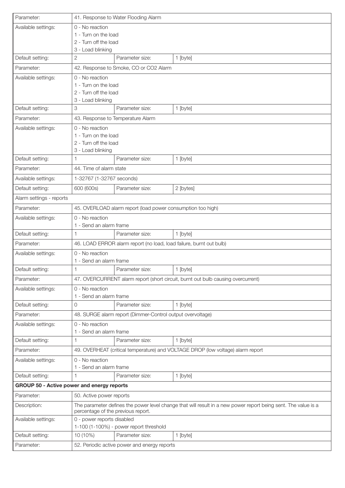| Parameter:                                 |                                                                                                                                                      | 41. Response to Water Flooding Alarm                                  |                                                                                  |
|--------------------------------------------|------------------------------------------------------------------------------------------------------------------------------------------------------|-----------------------------------------------------------------------|----------------------------------------------------------------------------------|
| Available settings:                        | 0 - No reaction                                                                                                                                      |                                                                       |                                                                                  |
|                                            | 1 - Turn on the load                                                                                                                                 |                                                                       |                                                                                  |
|                                            | 2 - Turn off the load                                                                                                                                |                                                                       |                                                                                  |
|                                            | 3 - Load blinking                                                                                                                                    |                                                                       |                                                                                  |
| Default setting:                           | 2                                                                                                                                                    | Parameter size:                                                       | 1 [byte]                                                                         |
| Parameter:                                 |                                                                                                                                                      | 42. Response to Smoke, CO or CO2 Alarm                                |                                                                                  |
| Available settings:                        | 0 - No reaction                                                                                                                                      |                                                                       |                                                                                  |
|                                            | 1 - Turn on the load<br>2 - Turn off the load                                                                                                        |                                                                       |                                                                                  |
|                                            | 3 - Load blinking                                                                                                                                    |                                                                       |                                                                                  |
| Default setting:                           | З                                                                                                                                                    | Parameter size:                                                       | 1 [byte]                                                                         |
| Parameter:                                 | 43. Response to Temperature Alarm                                                                                                                    |                                                                       |                                                                                  |
| Available settings:                        | 0 - No reaction                                                                                                                                      |                                                                       |                                                                                  |
|                                            | 1 - Turn on the load                                                                                                                                 |                                                                       |                                                                                  |
|                                            | 2 - Turn off the load                                                                                                                                |                                                                       |                                                                                  |
|                                            | 3 - Load blinking                                                                                                                                    |                                                                       |                                                                                  |
| Default setting:                           | 1                                                                                                                                                    | Parameter size:                                                       | 1 [byte]                                                                         |
| Parameter:                                 | 44. Time of alarm state                                                                                                                              |                                                                       |                                                                                  |
| Available settings:                        | 1-32767 (1-32767 seconds)                                                                                                                            |                                                                       |                                                                                  |
| Default setting:                           | 600 (600s)                                                                                                                                           | Parameter size:                                                       | 2 [bytes]                                                                        |
| Alarm settings - reports                   |                                                                                                                                                      |                                                                       |                                                                                  |
| Parameter:                                 |                                                                                                                                                      | 45. OVERLOAD alarm report (load power consumption too high)           |                                                                                  |
| Available settings:                        | 0 - No reaction                                                                                                                                      |                                                                       |                                                                                  |
|                                            | 1 - Send an alarm frame                                                                                                                              |                                                                       |                                                                                  |
| Default setting:                           |                                                                                                                                                      | Parameter size:                                                       | 1 [byte]                                                                         |
| Parameter:                                 |                                                                                                                                                      | 46. LOAD ERROR alarm report (no load, load failure, burnt out bulb)   |                                                                                  |
| Available settings:                        | 0 - No reaction<br>1 - Send an alarm frame                                                                                                           |                                                                       |                                                                                  |
| Default setting:                           | 1                                                                                                                                                    | Parameter size:                                                       | 1 [byte]                                                                         |
| Parameter:                                 |                                                                                                                                                      |                                                                       | 47. OVERCURRENT alarm report (short circuit, burnt out bulb causing overcurrent) |
|                                            |                                                                                                                                                      |                                                                       |                                                                                  |
| Available settings:                        | 0 - No reaction<br>1 - Send an alarm frame                                                                                                           |                                                                       |                                                                                  |
| Default setting:                           | 0                                                                                                                                                    | Parameter size:                                                       | 1 [byte]                                                                         |
| Parameter:                                 |                                                                                                                                                      | 48. SURGE alarm report (Dimmer-Control output overvoltage)            |                                                                                  |
| Available settings:                        | 0 - No reaction                                                                                                                                      |                                                                       |                                                                                  |
|                                            | 1 - Send an alarm frame                                                                                                                              |                                                                       |                                                                                  |
| Default setting:                           |                                                                                                                                                      | Parameter size:                                                       | 1 [byte]                                                                         |
| Parameter:                                 |                                                                                                                                                      |                                                                       | 49. OVERHEAT (critical temperature) and VOLTAGE DROP (low voltage) alarm report  |
| Available settings:                        | 0 - No reaction                                                                                                                                      |                                                                       |                                                                                  |
|                                            | 1 - Send an alarm frame                                                                                                                              |                                                                       |                                                                                  |
| Default setting:                           |                                                                                                                                                      | Parameter size:                                                       | 1 [byte]                                                                         |
| GROUP 50 - Active power and energy reports |                                                                                                                                                      |                                                                       |                                                                                  |
| Parameter:                                 | 50. Active power reports                                                                                                                             |                                                                       |                                                                                  |
| Description:                               | The parameter defines the power level change that will result in a new power report being sent. The value is a<br>percentage of the previous report. |                                                                       |                                                                                  |
| Available settings:                        |                                                                                                                                                      | 0 - power reports disabled<br>1-100 (1-100%) - power report threshold |                                                                                  |
| Default setting:                           | 10 (10%)                                                                                                                                             | Parameter size:                                                       | 1 [byte]                                                                         |
| Parameter:                                 |                                                                                                                                                      | 52. Periodic active power and energy reports                          |                                                                                  |
|                                            |                                                                                                                                                      |                                                                       |                                                                                  |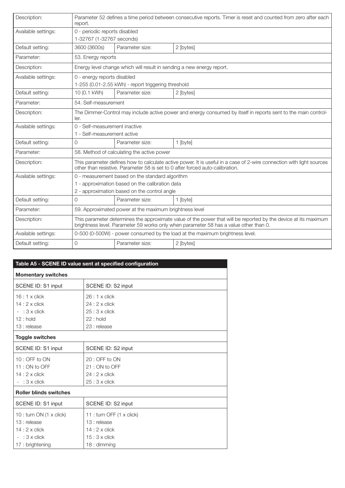| Description:        | Parameter 52 defines a time period between consecutive reports. Timer is reset and counted from zero after each<br>report.                                                                               |                                                                       |           |
|---------------------|----------------------------------------------------------------------------------------------------------------------------------------------------------------------------------------------------------|-----------------------------------------------------------------------|-----------|
| Available settings: | 0 - periodic reports disabled<br>1-32767 (1-32767 seconds)                                                                                                                                               |                                                                       |           |
| Default setting:    | 3600 (3600s)                                                                                                                                                                                             | Parameter size:                                                       | 2 [bytes] |
| Parameter:          | 53. Energy reports                                                                                                                                                                                       |                                                                       |           |
| Description:        |                                                                                                                                                                                                          | Energy level change which will result in sending a new energy report. |           |
| Available settings: | 0 - energy reports disabled<br>1-255 (0.01-2.55 kWh) - report triggering threshold                                                                                                                       |                                                                       |           |
| Default setting:    | 10 (0.1 kWh)                                                                                                                                                                                             | Parameter size:                                                       | 2 [bytes] |
| Parameter:          | 54. Self-measurement                                                                                                                                                                                     |                                                                       |           |
| Description:        | The Dimmer-Control may include active power and energy consumed by itself in reports sent to the main control-<br>ler.                                                                                   |                                                                       |           |
| Available settings: | 0 - Self-measurement inactive<br>1 - Self-measurement active                                                                                                                                             |                                                                       |           |
| Default setting:    | Parameter size:<br>$\Omega$<br>1 [byte]                                                                                                                                                                  |                                                                       |           |
| Parameter:          | 58. Method of calculating the active power                                                                                                                                                               |                                                                       |           |
| Description:        | This parameter defines how to calculate active power. It is useful in a case of 2-wire connection with light sources<br>other than resistive. Parameter 58 is set to 0 after forced auto-calibration.    |                                                                       |           |
| Available settings: | 0 - measurement based on the standard algorithm                                                                                                                                                          |                                                                       |           |
|                     | 1 - approximation based on the calibration data                                                                                                                                                          |                                                                       |           |
|                     | 2 - approximation based on the control angle                                                                                                                                                             |                                                                       |           |
| Default setting:    | 0                                                                                                                                                                                                        | Parameter size:                                                       | 1 [byte]  |
| Parameter:          |                                                                                                                                                                                                          | 59. Approximated power at the maximum brightness level                |           |
| Description:        | This parameter determines the approximate value of the power that will be reported by the device at its maximum<br>brightness level. Parameter 59 works only when parameter 58 has a value other than 0. |                                                                       |           |
| Available settings: | 0-500 (0-500W) - power consumed by the load at the maximum brightness level.                                                                                                                             |                                                                       |           |
| Default setting:    | $\Omega$                                                                                                                                                                                                 | Parameter size:                                                       | 2 [bytes] |

| Table A5 - SCENE ID value sent at specified configuration |                           |  |  |
|-----------------------------------------------------------|---------------------------|--|--|
| <b>Momentary switches</b>                                 |                           |  |  |
| SCENE ID: S1 input                                        | SCENE ID: S2 input        |  |  |
| $16:1 \times$ click                                       | $26:1 \times$ click       |  |  |
| $14:2 \times$ click                                       | $24:2 \times$ click       |  |  |
| $-$ : 3 x click                                           | $25:3 \times$ click       |  |  |
| $12:$ hold                                                | $22:$ hold                |  |  |
| 13 : release                                              | 23 : release              |  |  |
| <b>Toggle switches</b>                                    |                           |  |  |
| SCENE ID: S1 input                                        | SCENE ID: S2 input        |  |  |
| 10 : OFF to ON                                            | 20 : OFF to ON            |  |  |
| 11: ON to OFF                                             | 21: ON to OFF             |  |  |
| $14:2 \times$ click                                       | $24:2 \times$ click       |  |  |
| $-$ : 3 x click                                           | $25:3 \times$ click       |  |  |
| <b>Roller blinds switches</b>                             |                           |  |  |
| SCENE ID: S1 input                                        | SCENE ID: S2 input        |  |  |
| 10 : turn ON (1 x click)                                  | 11 : turn OFF (1 x click) |  |  |
| 13 : release                                              | 13 : release              |  |  |
| $14:2 \times$ click                                       | $14:2 \times$ click       |  |  |
| $-$ : 3 x click                                           | $15:3 \times$ click       |  |  |
| 17: brightening                                           | 18 : dimming              |  |  |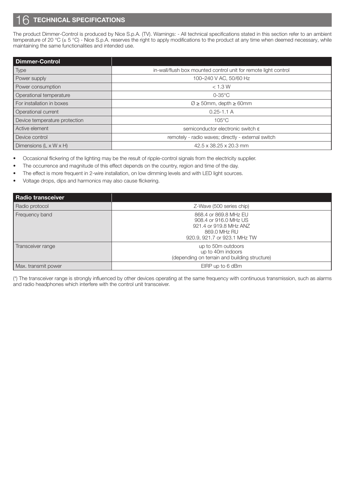# **TECHNICAL SPECIFICATIONS**

The product Dimmer-Control is produced by Nice S.p.A. (TV). Warnings: - All technical specifications stated in this section refer to an ambient temperature of 20 °C (± 5 °C) - Nice S.p.A. reserves the right to apply modifications to the product at any time when deemed necessary, while maintaining the same functionalities and intended use.

| <b>Dimmer-Control</b>              |                                                                 |
|------------------------------------|-----------------------------------------------------------------|
| Type                               | in-wall/flush box mounted control unit for remote light control |
| Power supply                       | 100-240 V AC, 50/60 Hz                                          |
| Power consumption                  | $<$ 1.3 W                                                       |
| Operational temperature            | $0-35^{\circ}$ C                                                |
| For installation in boxes          | $\varnothing \geq 50$ mm, depth $\geq 60$ mm                    |
| Operational current                | $0.25 - 1.1$ A                                                  |
| Device temperature protection      | $105^{\circ}$ C                                                 |
| Active element                     | semiconductor electronic switch ε                               |
| Device control                     | remotely - radio waves; directly - external switch              |
| Dimensions $(L \times W \times H)$ | 42.5 x 38.25 x 20.3 mm                                          |

• Occasional flickering of the lighting may be the result of ripple-control signals from the electricity supplier.

- The occurrence and magnitude of this effect depends on the country, region and time of the day.
- The effect is more frequent in 2-wire installation, on low dimming levels and with LED light sources.
- Voltage drops, dips and harmonics may also cause flickering.

| <b>Radio transceiver</b> |                                                                                                                          |
|--------------------------|--------------------------------------------------------------------------------------------------------------------------|
| Radio protocol           | Z-Wave (500 series chip)                                                                                                 |
| Frequency band           | 868.4 or 869.8 MHz EU<br>908.4 or 916.0 MHz US<br>921.4 or 919.8 MHz ANZ<br>869.0 MHz RU<br>920.9, 921.7 or 923.1 MHz TW |
| Transceiver range        | up to 50m outdoors<br>up to 40m indoors<br>(depending on terrain and building structure)                                 |
| Max. transmit power      | EIRP up to 6 dBm                                                                                                         |

(\*) The transceiver range is strongly influenced by other devices operating at the same frequency with continuous transmission, such as alarms and radio headphones which interfere with the control unit transceiver.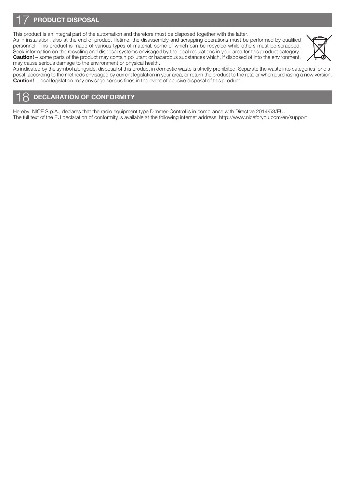# PRODUCT DISPOSAL

This product is an integral part of the automation and therefore must be disposed together with the latter. As in installation, also at the end of product lifetime, the disassembly and scrapping operations must be performed by qualified personnel. This product is made of various types of material, some of which can be recycled while others must be scrapped. Seek information on the recycling and disposal systems envisaged by the local regulations in your area for this product category. Caution! – some parts of the product may contain pollutant or hazardous substances which, if disposed of into the environment, may cause serious damage to the environment or physical health.



As indicated by the symbol alongside, disposal of this product in domestic waste is strictly prohibited. Separate the waste into categories for disposal, according to the methods envisaged by current legislation in your area, or return the product to the retailer when purchasing a new version. **Caution!** – local legislation may envisage serious fines in the event of abusive disposal of this product.

# DECLARATION OF CONFORMITY

Hereby, NICE S.p.A., declares that the radio equipment type Dimmer-Control is in compliance with Directive 2014/53/EU. The full text of the EU declaration of conformity is available at the following internet address: http://www.niceforyou.com/en/support